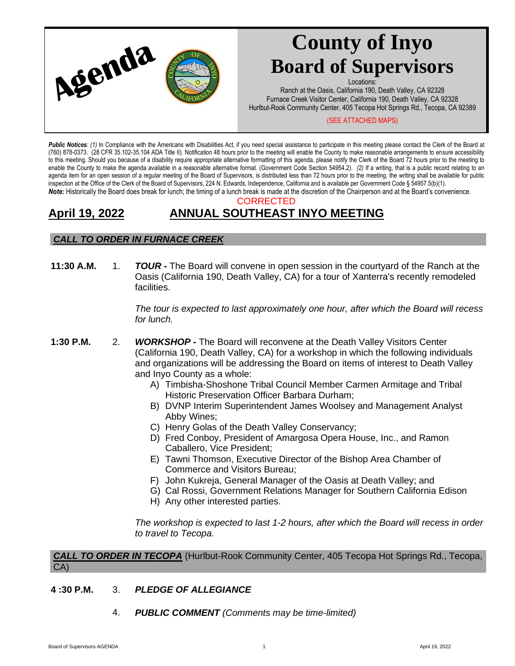

# **County of Inyo Board of Supervisors**

Locations:

Ranch at the Oasis, California 190, Death Valley, CA 92328 Furnace Creek Visitor Center, California 190, Death Valley, CA 92328 Hurlbut-Rook Community Center, 405 Tecopa Hot Springs Rd., Tecopa, CA 92389

#### (SEE ATTACHED MAPS)

Public Notices: (1) In Compliance with the Americans with Disabilities Act, if you need special assistance to participate in this meeting please contact the Clerk of the Board at (760) 878-0373. (28 CFR 35.102-35.104 ADA Title II). Notification 48 hours prior to the meeting will enable the County to make reasonable arrangements to ensure accessibility to this meeting. Should you because of a disability require appropriate alternative formatting of this agenda, please notify the Clerk of the Board 72 hours prior to the meeting to enable the County to make the agenda available in a reasonable alternative format. (Government Code Section 54954.2). *(2)* If a writing, that is a public record relating to an agenda item for an open session of a regular meeting of the Board of Supervisors, is distributed less than 72 hours prior to the meeting, the writing shall be available for public inspection at the Office of the Clerk of the Board of Supervisors, 224 N. Edwards, Independence, California and is available per Government Code § 54957.5(b)(1). *Note:* Historically the Board does break for lunch; the timing of a lunch break is made at the discretion of the Chairperson and at the Board's convenience.

#### CORRECTED

# **April 19, 2022 ANNUAL SOUTHEAST INYO MEETING**

# *CALL TO ORDER IN FURNACE CREEK*

**11:30 A.M.** 1. **TOUR -** The Board will convene in open session in the courtyard of the Ranch at the Oasis (California 190, Death Valley, CA) for a tour of Xanterra's recently remodeled facilities.

> *The tour is expected to last approximately one hour, after which the Board will recess for lunch.*

- **1:30 P.M.** 2. *WORKSHOP -* The Board will reconvene at the Death Valley Visitors Center (California 190, Death Valley, CA) for a workshop in which the following individuals and organizations will be addressing the Board on items of interest to Death Valley and Inyo County as a whole:
	- A) Timbisha-Shoshone Tribal Council Member Carmen Armitage and Tribal Historic Preservation Officer Barbara Durham;
	- B) DVNP Interim Superintendent James Woolsey and Management Analyst Abby Wines;
	- C) Henry Golas of the Death Valley Conservancy;
	- D) Fred Conboy, President of Amargosa Opera House, Inc., and Ramon Caballero, Vice President;
	- E) Tawni Thomson, Executive Director of the Bishop Area Chamber of Commerce and Visitors Bureau;
	- F) John Kukreja, General Manager of the Oasis at Death Valley; and
	- G) Cal Rossi, Government Relations Manager for Southern California Edison
	- H) Any other interested parties.

*The workshop is expected to last 1-2 hours, after which the Board will recess in order to travel to Tecopa.*

*CALL TO ORDER IN TECOPA* (Hurlbut-Rook Community Center, 405 Tecopa Hot Springs Rd., Tecopa, CA)

- **4 :30 P.M.** 3. *PLEDGE OF ALLEGIANCE*
	- 4. *PUBLIC COMMENT (Comments may be time-limited)*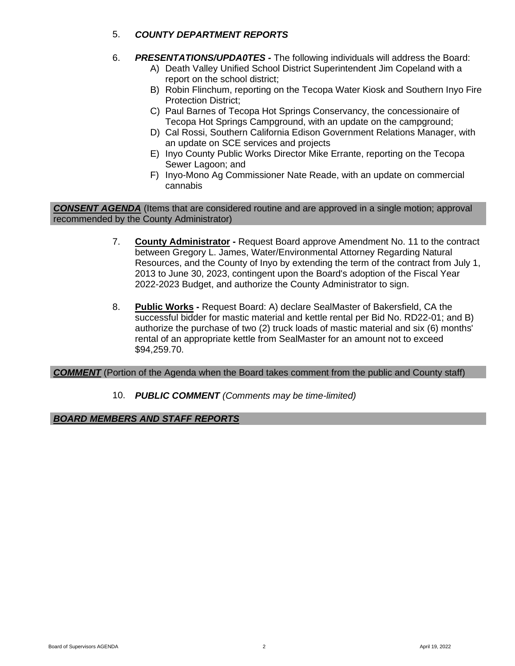# 5. *COUNTY DEPARTMENT REPORTS*

- 6. *PRESENTATIONS/UPDA0TES -* The following individuals will address the Board:
	- A) Death Valley Unified School District Superintendent Jim Copeland with a report on the school district;
	- B) Robin Flinchum, reporting on the Tecopa Water Kiosk and Southern Inyo Fire Protection District;
	- C) Paul Barnes of Tecopa Hot Springs Conservancy, the concessionaire of Tecopa Hot Springs Campground, with an update on the campground;
	- D) Cal Rossi, Southern California Edison Government Relations Manager, with an update on SCE services and projects
	- E) Inyo County Public Works Director Mike Errante, reporting on the Tecopa Sewer Lagoon; and
	- F) Inyo-Mono Ag Commissioner Nate Reade, with an update on commercial cannabis

*CONSENT AGENDA* (Items that are considered routine and are approved in a single motion; approval recommended by the County Administrator)

- 7. **County Administrator -** Request Board approve Amendment No. 11 to the contract between Gregory L. James, Water/Environmental Attorney Regarding Natural Resources, and the County of Inyo by extending the term of the contract from July 1, 2013 to June 30, 2023, contingent upon the Board's adoption of the Fiscal Year 2022-2023 Budget, and authorize the County Administrator to sign.
- 8. **Public Works -** Request Board: A) declare SealMaster of Bakersfield, CA the successful bidder for mastic material and kettle rental per Bid No. RD22-01; and B) authorize the purchase of two (2) truck loads of mastic material and six (6) months' rental of an appropriate kettle from SealMaster for an amount not to exceed \$94,259.70.

## *COMMENT* (Portion of the Agenda when the Board takes comment from the public and County staff)

10. *PUBLIC COMMENT (Comments may be time-limited)*

## *BOARD MEMBERS AND STAFF REPORTS*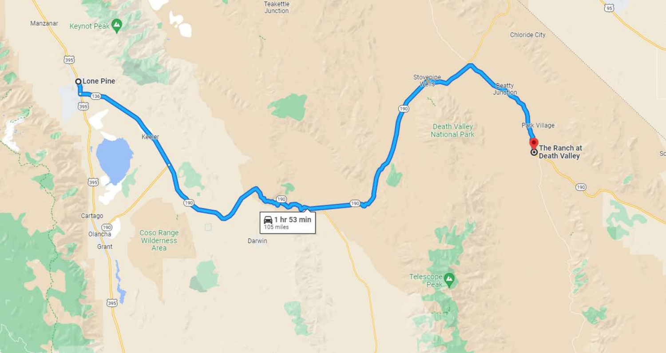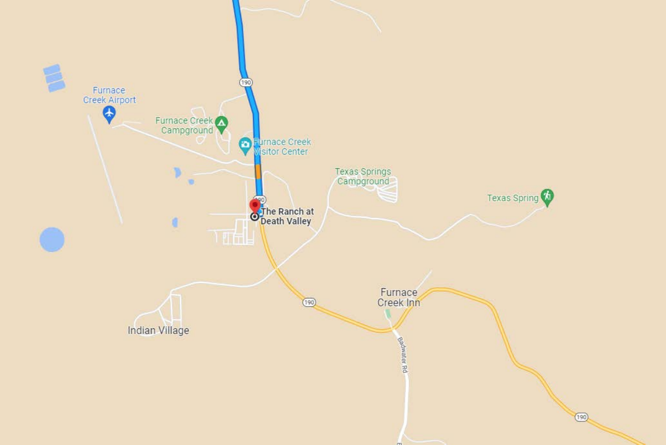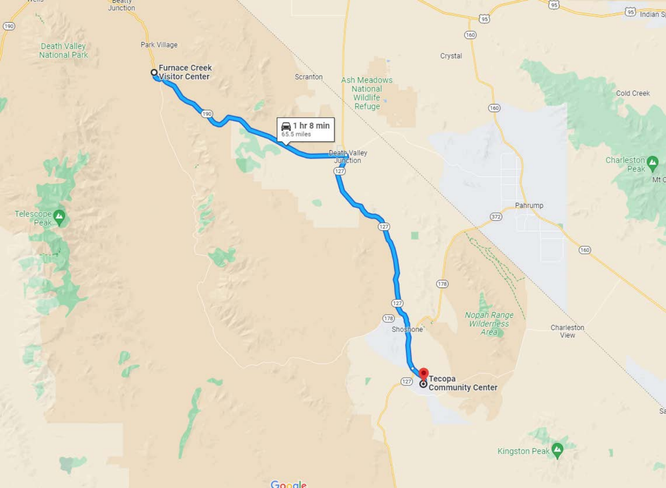